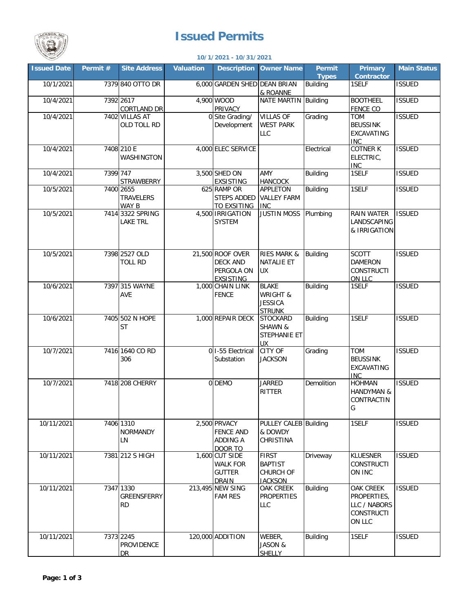## **Issued Permits**



## **10/1/2021 - 10/31/2021**

| <b>Issued Date</b> | Permit # | Site Address                                | <b>Valuation</b> |                                                                       | <b>Description Owner Name</b>                                          | Permit          | <b>Primary</b>                                                   | Main Status   |
|--------------------|----------|---------------------------------------------|------------------|-----------------------------------------------------------------------|------------------------------------------------------------------------|-----------------|------------------------------------------------------------------|---------------|
|                    |          |                                             |                  |                                                                       |                                                                        | <b>Types</b>    | <b>Contractor</b>                                                |               |
| 10/1/2021          |          | 7379 840 OTTO DR                            |                  | 6,000 GARDEN SHED DEAN BRIAN                                          | & ROANNE                                                               | <b>Building</b> | 1SELF                                                            | <b>ISSUED</b> |
| 10/4/2021          |          | 7392 2617<br><b>CORTLAND DR</b>             |                  | 4,900 WOOD<br>PRIVACY                                                 | NATE MARTIN Building                                                   |                 | <b>BOOTHEEL</b><br><b>FENCE CO</b>                               | <b>ISSUED</b> |
| 10/4/2021          |          | 7402 VILLAS AT<br>OLD TOLL RD               |                  | 0 Site Grading/<br>Development                                        | <b>VILLAS OF</b><br><b>WEST PARK</b><br><b>LLC</b>                     | Grading         | <b>TOM</b><br><b>BEUSSINK</b><br>EXCAVATING<br><b>INC</b>        | <b>ISSUED</b> |
| 10/4/2021          |          | 7408 210 E<br><b>WASHINGTON</b>             |                  | 4,000 ELEC SERVICE                                                    |                                                                        | Electrical      | <b>COTNER K</b><br>ELECTRIC,<br><b>INC</b>                       | <b>ISSUED</b> |
| 10/4/2021          | 7399 747 | <b>STRAWBERRY</b>                           |                  | 3,500 SHED ON<br><b>EXSISTING</b>                                     | AMY<br><b>HANCOCK</b>                                                  | <b>Building</b> | 1SELF                                                            | <b>ISSUED</b> |
| 10/5/2021          |          | 7400 2655<br><b>TRAVELERS</b><br>WAY B      |                  | 625 RAMP OR<br><b>STEPS ADDED</b><br><b>TO EXSITING</b>               | APPLETON<br><b>VALLEY FARM</b><br><b>INC</b>                           | <b>Building</b> | 1SELF                                                            | <b>ISSUED</b> |
| 10/5/2021          |          | 7414 3322 SPRING<br><b>LAKE TRL</b>         |                  | 4,500 IRRIGATION<br><b>SYSTEM</b>                                     | <b>JUSTIN MOSS Plumbing</b>                                            |                 | RAIN WATER<br>LANDSCAPING<br>& IRRIGATION                        | <b>ISSUED</b> |
| 10/5/2021          |          | 7398 2527 OLD<br><b>TOLL RD</b>             |                  | 21,500 ROOF OVER<br><b>DECK AND</b><br>PERGOLA ON<br><b>EXSISTING</b> | <b>RIES MARK &amp;</b><br>NATALIE ET<br><b>UX</b>                      | Building        | <b>SCOTT</b><br><b>DAMERON</b><br><b>CONSTRUCTI</b><br>ON LLC    | <b>ISSUED</b> |
| 10/6/2021          |          | 7397 315 WAYNE<br>AVE                       |                  | 1,000 CHAIN LINK<br><b>FENCE</b>                                      | <b>BLAKE</b><br><b>WRIGHT &amp;</b><br><b>JESSICA</b><br><b>STRUNK</b> | Building        | 1SELF                                                            | <b>ISSUED</b> |
| 10/6/2021          |          | 7405 502 N HOPE<br><b>ST</b>                |                  | 1,000 REPAIR DECK                                                     | <b>STOCKARD</b><br>SHAWN &<br>STEPHANIE ET<br><b>UX</b>                | Building        | 1SELF                                                            | <b>ISSUED</b> |
| 10/7/2021          |          | 7416 1640 CO RD<br>306                      |                  | 0 I-55 Electrical<br>Substation                                       | <b>CITY OF</b><br><b>JACKSON</b>                                       | Grading         | TOM<br><b>BEUSSINK</b><br><b>EXCAVATING</b><br><b>INC</b>        | <b>ISSUED</b> |
| 10/7/2021          |          | 7418 208 CHERRY                             |                  | 0 DEMO                                                                | <b>JARRED</b><br>RITTER                                                | Demolition      | <b>HOHMAN</b><br><b>HANDYMAN &amp;</b><br>CONTRACTIN<br>G        | <b>ISSUED</b> |
| 10/11/2021         |          | 7406 1310<br><b>NORMANDY</b><br>LN          |                  | 2,500 PRVACY<br><b>FENCE AND</b><br>ADDING A<br>DOOR TO               | PULLEY CALEB Building<br>& DOWDY<br>CHRISTINA                          |                 | 1SELF                                                            | <b>ISSUED</b> |
| 10/11/2021         |          | 7381 212 S HIGH                             |                  | 1,600 CUT SIDE<br><b>WALK FOR</b><br><b>GUTTER</b><br><b>DRAIN</b>    | <b>FIRST</b><br><b>BAPTIST</b><br><b>CHURCH OF</b><br><b>JACKSON</b>   | Driveway        | <b>KLUESNER</b><br><b>CONSTRUCTI</b><br>ON INC                   | <b>ISSUED</b> |
| 10/11/2021         |          | 7347 1330<br>GREENSFERRY<br><b>RD</b>       |                  | 213,495 NEW SING<br><b>FAM RES</b>                                    | OAK CREEK<br><b>PROPERTIES</b><br>LLC                                  | <b>Building</b> | OAK CREEK<br>PROPERTIES,<br>LLC / NABORS<br>CONSTRUCTI<br>ON LLC | <b>ISSUED</b> |
| 10/11/2021         |          | 7373 2245<br><b>PROVIDENCE</b><br><b>DR</b> |                  | 120,000 ADDITION                                                      | WEBER,<br>JASON &<br><b>SHELLY</b>                                     | <b>Building</b> | 1SELF                                                            | <b>ISSUED</b> |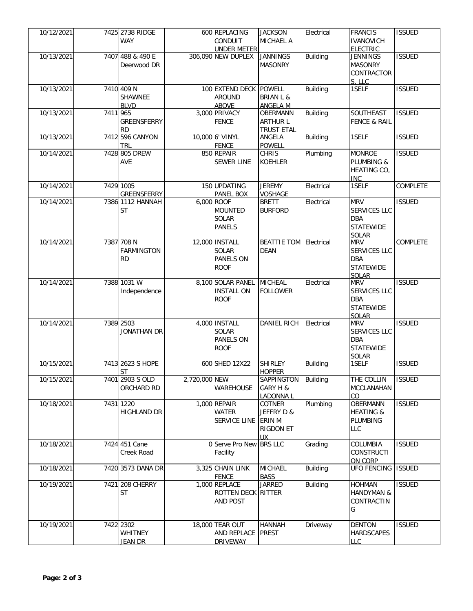| 10/12/2021 |          | 7425 2738 RIDGE    |               | 600 REPLACING           | <b>JACKSON</b>                | Electrical      | <b>FRANCIS</b>             | <b>ISSUED</b>   |
|------------|----------|--------------------|---------------|-------------------------|-------------------------------|-----------------|----------------------------|-----------------|
|            |          | <b>WAY</b>         |               | CONDUIT                 | <b>MICHAEL A</b>              |                 | <b>IVANOVICH</b>           |                 |
|            |          |                    |               | <b>UNDER METER</b>      |                               |                 | <b>ELECTRIC</b>            |                 |
| 10/13/2021 |          | 7407 488 & 490 E   |               | 306,090 NEW DUPLEX      | <b>JANNINGS</b>               | <b>Building</b> | <b>JENNINGS</b>            | <b>ISSUED</b>   |
|            |          | Deerwood DR        |               |                         | <b>MASONRY</b>                |                 | <b>MASONRY</b>             |                 |
|            |          |                    |               |                         |                               |                 | CONTRACTOR                 |                 |
|            |          |                    |               |                         |                               |                 | S, LLC                     |                 |
| 10/13/2021 |          | 7410 409 N         |               | 100 EXTEND DECK POWELL  |                               | <b>Building</b> | 1SELF                      | <b>ISSUED</b>   |
|            |          | SHAWNEE            |               | <b>AROUND</b>           | <b>BRIAN L &amp;</b>          |                 |                            |                 |
|            |          |                    |               |                         |                               |                 |                            |                 |
|            | 7411 965 | <b>BLVD</b>        |               | <b>ABOVE</b>            | <b>ANGELA M</b>               |                 |                            |                 |
| 10/13/2021 |          |                    |               | 3,000 PRIVACY           | <b>OBERMANN</b>               | <b>Building</b> | SOUTHEAST                  | <b>ISSUED</b>   |
|            |          | GREENSFERRY        |               | <b>FENCE</b>            | <b>ARTHUR L</b>               |                 | <b>FENCE &amp; RAIL</b>    |                 |
|            |          | <b>RD</b>          |               |                         | <b>TRUST ETAL</b>             |                 |                            |                 |
| 10/13/2021 |          | 7412 596 CANYON    |               | 10,000 6' VINYL         | ANGELA                        | <b>Building</b> | 1SELF                      | <b>ISSUED</b>   |
|            |          | <b>TRL</b>         |               | <b>FENCE</b>            | <b>POWELL</b>                 |                 |                            |                 |
| 10/14/2021 |          | 7428 805 DREW      |               | 850 REPAIR              | <b>CHRIS</b>                  | Plumbing        | <b>MONROE</b>              | <b>ISSUED</b>   |
|            |          | <b>AVE</b>         |               | <b>SEWER LINE</b>       | <b>KOEHLER</b>                |                 | <b>PLUMBING &amp;</b>      |                 |
|            |          |                    |               |                         |                               |                 | HEATING CO,                |                 |
|            |          |                    |               |                         |                               |                 | <b>INC</b>                 |                 |
| 10/14/2021 |          | 7429 1005          |               | 150 UPDATING            | <b>JEREMY</b>                 | Electrical      | 1SELF                      | <b>COMPLETE</b> |
|            |          | <b>GREENSFERRY</b> |               | PANEL BOX               | <b>VOSHAGE</b>                |                 |                            |                 |
| 10/14/2021 |          | 7386 1112 HANNAH   |               | 6,000 ROOF              | <b>BRETT</b>                  | Electrical      | <b>MRV</b>                 | <b>ISSUED</b>   |
|            |          | <b>ST</b>          |               | <b>MOUNTED</b>          | <b>BURFORD</b>                |                 | SERVICES LLC               |                 |
|            |          |                    |               | <b>SOLAR</b>            |                               |                 | <b>DBA</b>                 |                 |
|            |          |                    |               | <b>PANELS</b>           |                               |                 | <b>STATEWIDE</b>           |                 |
|            |          |                    |               |                         |                               |                 |                            |                 |
| 10/14/2021 |          | 7387 708 N         |               | 12,000 INSTALL          | <b>BEATTIE TOM Electrical</b> |                 | <b>SOLAR</b><br><b>MRV</b> | COMPLETE        |
|            |          |                    |               |                         |                               |                 |                            |                 |
|            |          | <b>FARMINGTON</b>  |               | SOLAR                   | <b>DEAN</b>                   |                 | SERVICES LLC               |                 |
|            |          | <b>RD</b>          |               | <b>PANELS ON</b>        |                               |                 | <b>DBA</b>                 |                 |
|            |          |                    |               | <b>ROOF</b>             |                               |                 | <b>STATEWIDE</b>           |                 |
|            |          |                    |               |                         |                               |                 | <b>SOLAR</b>               |                 |
| 10/14/2021 |          | 7388 1031 W        |               | 8,100 SOLAR PANEL       | MICHEAL                       | Electrical      | <b>MRV</b>                 | <b>ISSUED</b>   |
|            |          | Independence       |               | <b>INSTALL ON</b>       | <b>FOLLOWER</b>               |                 | SERVICES LLC               |                 |
|            |          |                    |               | <b>ROOF</b>             |                               |                 | <b>DBA</b>                 |                 |
|            |          |                    |               |                         |                               |                 | <b>STATEWIDE</b>           |                 |
|            |          |                    |               |                         |                               |                 | SOLAR                      |                 |
| 10/14/2021 |          | 7389 2503          |               | 4,000 INSTALL           | <b>DANIEL RICH</b>            | Electrical      | <b>MRV</b>                 | <b>ISSUED</b>   |
|            |          | JONATHAN DR        |               | <b>SOLAR</b>            |                               |                 | <b>SERVICES LLC</b>        |                 |
|            |          |                    |               | <b>PANELS ON</b>        |                               |                 | <b>DBA</b>                 |                 |
|            |          |                    |               | <b>ROOF</b>             |                               |                 | <b>STATEWIDE</b>           |                 |
|            |          |                    |               |                         |                               |                 |                            |                 |
| 10/15/2021 |          | 7413 2623 S HOPE   |               | 600 SHED 12X22          | <b>SHIRLEY</b>                | <b>Building</b> | <b>SOLAR</b><br>1SELF      | <b>ISSUED</b>   |
|            |          | <b>ST</b>          |               |                         | <b>HOPPER</b>                 |                 |                            |                 |
|            |          |                    |               |                         |                               |                 |                            |                 |
| 10/15/2021 |          | 7401 2903 S OLD    | 2,720,000 NEW |                         | SAPPINGTON                    | <b>Building</b> | THE COLLIN                 | <b>ISSUED</b>   |
|            |          | ORCHARD RD         |               | <b>WAREHOUSE</b>        | GARY H &                      |                 | MCCLANAHAN                 |                 |
|            |          |                    |               |                         | LADONNA L                     |                 | CO                         |                 |
| 10/18/2021 |          | 7431 1220          |               | 1,000 REPAIR            | COTNER                        | Plumbing        | OBERMANN                   | <b>ISSUED</b>   |
|            |          | <b>HIGHLAND DR</b> |               | <b>WATER</b>            | JEFFRY D &                    |                 | <b>HEATING &amp;</b>       |                 |
|            |          |                    |               | SERVICE LINE ERIN M     |                               |                 | PLUMBING                   |                 |
|            |          |                    |               |                         | <b>RIGDON ET</b>              |                 | <b>LLC</b>                 |                 |
|            |          |                    |               |                         | UX.                           |                 |                            |                 |
| 10/18/2021 |          | 7424 451 Cane      |               | 0 Serve Pro New BRS LLC |                               | Grading         | COLUMBIA                   | <b>ISSUED</b>   |
|            |          | Creek Road         |               | Facility                |                               |                 | <b>CONSTRUCTI</b>          |                 |
|            |          |                    |               |                         |                               |                 | ON CORP                    |                 |
| 10/18/2021 |          | 7420 3573 DANA DR  |               | 3,325 CHAIN LINK        | <b>MICHAEL</b>                | <b>Building</b> | <b>UFO FENCING</b>         | <b>ISSUED</b>   |
|            |          |                    |               | <b>FENCE</b>            | <b>BASS</b>                   |                 |                            |                 |
| 10/19/2021 |          | 7421 208 CHERRY    |               | 1,000 REPLACE           | <b>JARRED</b>                 | <b>Building</b> | <b>HOHMAN</b>              | <b>ISSUED</b>   |
|            |          |                    |               |                         |                               |                 |                            |                 |
|            |          | ST                 |               | ROTTEN DECK RITTER      |                               |                 | <b>HANDYMAN &amp;</b>      |                 |
|            |          |                    |               | AND POST                |                               |                 | CONTRACTIN                 |                 |
|            |          |                    |               |                         |                               |                 | G                          |                 |
|            |          |                    |               |                         |                               |                 |                            |                 |
| 10/19/2021 |          | 7422 2302          |               | 18,000 TEAR OUT         | <b>HANNAH</b>                 | Driveway        | <b>DENTON</b>              | <b>ISSUED</b>   |
|            |          | <b>WHITNEY</b>     |               | AND REPLACE PREST       |                               |                 | <b>HARDSCAPES</b>          |                 |
|            |          | <u>Jean Dr</u>     |               | <b>DRIVEWAY</b>         |                               |                 | <b>LLC</b>                 |                 |